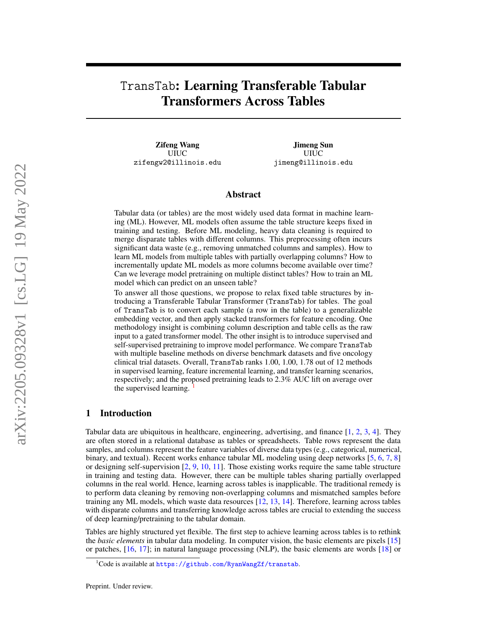# TransTab: Learning Transferable Tabular Transformers Across Tables

Zifeng Wang UIUC zifengw2@illinois.edu

Jimeng Sun UIUC jimeng@illinois.edu

## Abstract

Tabular data (or tables) are the most widely used data format in machine learning (ML). However, ML models often assume the table structure keeps fixed in training and testing. Before ML modeling, heavy data cleaning is required to merge disparate tables with different columns. This preprocessing often incurs significant data waste (e.g., removing unmatched columns and samples). How to learn ML models from multiple tables with partially overlapping columns? How to incrementally update ML models as more columns become available over time? Can we leverage model pretraining on multiple distinct tables? How to train an ML model which can predict on an unseen table?

To answer all those questions, we propose to relax fixed table structures by introducing a Transferable Tabular Transformer (TransTab) for tables. The goal of TransTab is to convert each sample (a row in the table) to a generalizable embedding vector, and then apply stacked transformers for feature encoding. One methodology insight is combining column description and table cells as the raw input to a gated transformer model. The other insight is to introduce supervised and self-supervised pretraining to improve model performance. We compare TransTab with multiple baseline methods on diverse benchmark datasets and five oncology clinical trial datasets. Overall, TransTab ranks 1.00, 1.00, 1.78 out of 12 methods in supervised learning, feature incremental learning, and transfer learning scenarios, respectively; and the proposed pretraining leads to 2.3% AUC lift on average over the supervised learning.

## <span id="page-0-1"></span>1 Introduction

Tabular data are ubiquitous in healthcare, engineering, advertising, and finance  $[1, 2, 3, 4]$  $[1, 2, 3, 4]$  $[1, 2, 3, 4]$  $[1, 2, 3, 4]$  $[1, 2, 3, 4]$  $[1, 2, 3, 4]$  $[1, 2, 3, 4]$ . They are often stored in a relational database as tables or spreadsheets. Table rows represent the data samples, and columns represent the feature variables of diverse data types (e.g., categorical, numerical, binary, and textual). Recent works enhance tabular ML modeling using deep networks [\[5,](#page-9-1) [6,](#page-9-2) [7,](#page-9-3) [8\]](#page-9-4) or designing self-supervision [\[2,](#page-8-1) [9,](#page-9-5) [10,](#page-9-6) [11\]](#page-9-7). Those existing works require the same table structure in training and testing data. However, there can be multiple tables sharing partially overlapped columns in the real world. Hence, learning across tables is inapplicable. The traditional remedy is to perform data cleaning by removing non-overlapping columns and mismatched samples before training any ML models, which waste data resources [\[12,](#page-9-8) [13,](#page-9-9) [14\]](#page-9-10). Therefore, learning across tables with disparate columns and transferring knowledge across tables are crucial to extending the success of deep learning/pretraining to the tabular domain.

Tables are highly structured yet flexible. The first step to achieve learning across tables is to rethink the *basic elements* in tabular data modeling. In computer vision, the basic elements are pixels [\[15\]](#page-9-11) or patches, [\[16,](#page-9-12) [17\]](#page-9-13); in natural language processing (NLP), the basic elements are words [\[18\]](#page-9-14) or

<span id="page-0-0"></span> $^1$ Code is available at <https://github.com/RyanWangZf/transtab>.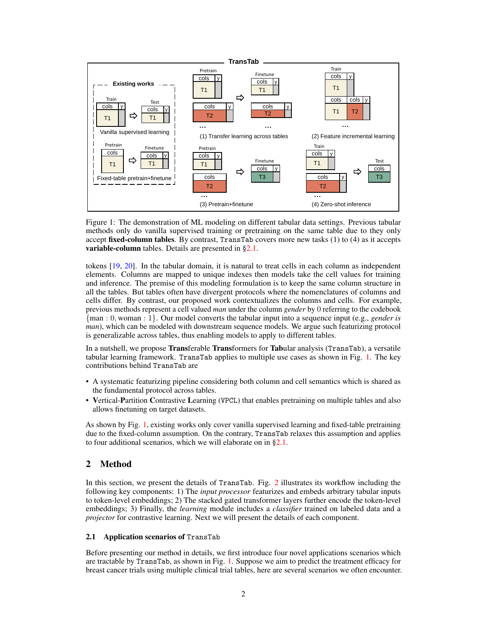<span id="page-1-1"></span>

Figure 1: The demonstration of ML modeling on different tabular data settings. Previous tabular methods only do vanilla supervised training or pretraining on the same table due to they only accept fixed-column tables. By contrast, TransTab covers more new tasks  $(1)$  to  $(4)$  as it accepts **variable-column** tables. Details are presented in [§2.1.](#page-1-0)

tokens [\[19,](#page-9-15) [20\]](#page-9-16). In the tabular domain, it is natural to treat cells in each column as independent elements. Columns are mapped to unique indexes then models take the cell values for training and inference. The premise of this modeling formulation is to keep the same column structure in all the tables. But tables often have divergent protocols where the nomenclatures of columns and cells differ. By contrast, our proposed work contextualizes the columns and cells. For example, previous methods represent a cell valued *man* under the column *gender* by 0 referring to the codebook {man : 0, woman : 1}. Our model converts the tabular input into a sequence input (e.g., *gender is man*), which can be modeled with downstream sequence models. We argue such featurizing protocol is generalizable across tables, thus enabling models to apply to different tables.

In a nutshell, we propose Transferable Transformers for Tabular analysis (TransTab), a versatile tabular learning framework. TransTab applies to multiple use cases as shown in Fig. [1.](#page-1-1) The key contributions behind TransTab are

- A systematic featurizing pipeline considering both column and cell semantics which is shared as the fundamental protocol across tables.
- Vertical-Partition Contrastive Learning (VPCL) that enables pretraining on multiple tables and also allows finetuning on target datasets.

As shown by Fig. [1,](#page-1-1) existing works only cover vanilla supervised learning and fixed-table pretraining due to the fixed-column assumption. On the contrary, TransTab relaxes this assumption and applies to four additional scenarios, which we will elaborate on in [§2.1.](#page-1-0)

# 2 Method

In this section, we present the details of TransTab. Fig. [2](#page-2-0) illustrates its workflow including the following key components: 1) The *input processor* featurizes and embeds arbitrary tabular inputs to token-level embeddings; 2) The stacked gated transformer layers further encode the token-level embeddings; 3) Finally, the *learning* module includes a *classifier* trained on labeled data and a *projector* for contrastive learning. Next we will present the details of each component.

## <span id="page-1-0"></span>2.1 Application scenarios of TransTab

Before presenting our method in details, we first introduce four novel applications scenarios which are tractable by TransTab, as shown in Fig. [1.](#page-1-1) Suppose we aim to predict the treatment efficacy for breast cancer trials using multiple clinical trial tables, here are several scenarios we often encounter.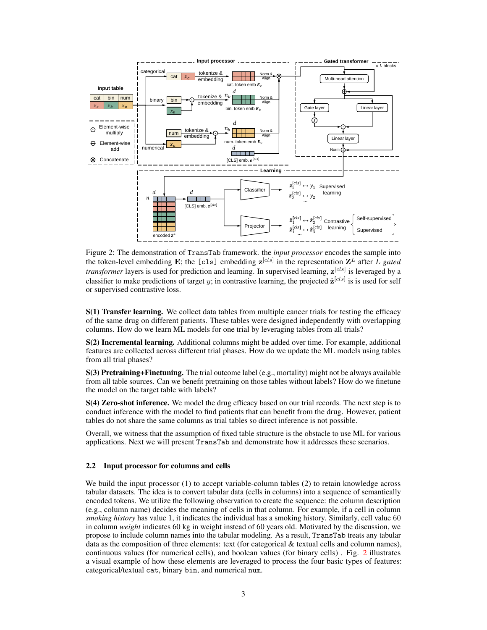<span id="page-2-0"></span>

Figure 2: The demonstration of TransTab framework. the *input processor* encodes the sample into the token-level embedding E; the [cls] embedding  $z^{[cls]}$  in the representation  $Z<sup>L</sup>$  after L *gated transformer* layers is used for prediction and learning. In supervised learning,  $z^{[cls]}$  is leveraged by a classifier to make predictions of target y; in contrastive learning, the projected  $\hat{\mathbf{z}}^{[cls]}$  is is used for self or supervised contrastive loss.

S(1) Transfer learning. We collect data tables from multiple cancer trials for testing the efficacy of the same drug on different patients. These tables were designed independently with overlapping columns. How do we learn ML models for one trial by leveraging tables from all trials?

S(2) Incremental learning. Additional columns might be added over time. For example, additional features are collected across different trial phases. How do we update the ML models using tables from all trial phases?

S(3) Pretraining+Finetuning. The trial outcome label (e.g., mortality) might not be always available from all table sources. Can we benefit pretraining on those tables without labels? How do we finetune the model on the target table with labels?

S(4) Zero-shot inference. We model the drug efficacy based on our trial records. The next step is to conduct inference with the model to find patients that can benefit from the drug. However, patient tables do not share the same columns as trial tables so direct inference is not possible.

Overall, we witness that the assumption of fixed table structure is the obstacle to use ML for various applications. Next we will present TransTab and demonstrate how it addresses these scenarios.

#### 2.2 Input processor for columns and cells

We build the input processor (1) to accept variable-column tables (2) to retain knowledge across tabular datasets. The idea is to convert tabular data (cells in columns) into a sequence of semantically encoded tokens. We utilize the following observation to create the sequence: the column description (e.g., column name) decides the meaning of cells in that column. For example, if a cell in column *smoking history* has value 1, it indicates the individual has a smoking history. Similarly, cell value 60 in column *weight* indicates 60 kg in weight instead of 60 years old. Motivated by the discussion, we propose to include column names into the tabular modeling. As a result, TransTab treats any tabular data as the composition of three elements: text (for categorical & textual cells and column names), continuous values (for numerical cells), and boolean values (for binary cells) . Fig. [2](#page-2-0) illustrates a visual example of how these elements are leveraged to process the four basic types of features: categorical/textual cat, binary bin, and numerical num.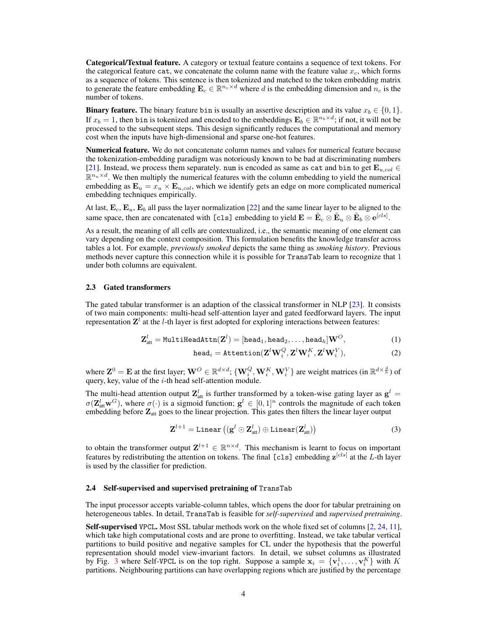Categorical/Textual feature. A category or textual feature contains a sequence of text tokens. For the categorical feature cat, we concatenate the column name with the feature value  $x_c$ , which forms as a sequence of tokens. This sentence is then tokenized and matched to the token embedding matrix to generate the feature embedding  $\mathbf{E}_c \in \mathbb{R}^{n_c \times d}$  where d is the embedding dimension and  $n_c$  is the number of tokens.

**Binary feature.** The binary feature bin is usually an assertive description and its value  $x_b \in \{0, 1\}$ . If  $x_b = 1$ , then bin is tokenized and encoded to the embeddings  $\mathbf{E}_b \in \mathbb{R}^{n_b \times d}$ ; if not, it will not be processed to the subsequent steps. This design significantly reduces the computational and memory cost when the inputs have high-dimensional and sparse one-hot features.

Numerical feature. We do not concatenate column names and values for numerical feature because the tokenization-embedding paradigm was notoriously known to be bad at discriminating numbers [\[21\]](#page-9-17). Instead, we process them separately. num is encoded as same as cat and bin to get  $\mathbf{E}_{u, col} \in$  $\mathbb{R}^{n_u \times d}$ . We then multiply the numerical features with the column embedding to yield the numerical embedding as  $\mathbf{E}_u = x_u \times \mathbf{E}_{u, col}$ , which we identify gets an edge on more complicated numerical embedding techniques empirically.

At last,  $\mathbf{E}_c$ ,  $\mathbf{E}_u$ ,  $\mathbf{E}_b$  all pass the layer normalization [\[22\]](#page-9-18) and the same linear layer to be aligned to the same space, then are concatenated with [cls] embedding to yield  $\mathbf{E} = \tilde{\mathbf{E}}_c \otimes \tilde{\mathbf{E}}_u \otimes \tilde{\mathbf{E}}_b \otimes \mathbf{e}^{[cls]}$ .

As a result, the meaning of all cells are contextualized, i.e., the semantic meaning of one element can vary depending on the context composition. This formulation benefits the knowledge transfer across tables a lot. For example, *previously smoked* depicts the same thing as *smoking history*. Previous methods never capture this connection while it is possible for TransTab learn to recognize that 1 under both columns are equivalent.

#### 2.3 Gated transformers

The gated tabular transformer is an adaption of the classical transformer in NLP [\[23\]](#page-9-19). It consists of two main components: multi-head self-attention layer and gated feedforward layers. The input representation  $\mathbf{Z}^{l}$  at the *l*-th layer is first adopted for exploring interactions between features:

$$
\textbf{Z}^l_{\text{att}} = \texttt{MultiHeadAttn}(\textbf{Z}^l) = [\texttt{head}_1, \texttt{head}_2, \dots, \texttt{head}_h] \textbf{W}^O, \tag{1}
$$

$$
\text{head}_i = \text{Attention}(\mathbf{Z}^l \mathbf{W}_i^Q, \mathbf{Z}^l \mathbf{W}_i^K, \mathbf{Z}^l \mathbf{W}_i^V),\tag{2}
$$

where  $\mathbf{Z}^0 = \mathbf{E}$  at the first layer;  $\mathbf{W}^O \in \mathbb{R}^{d \times d}$ ;  $\{\mathbf{W}_i^Q, \mathbf{W}_i^K, \mathbf{W}_i^V\}$  are weight matrices (in  $\mathbb{R}^{d \times \frac{d}{h}}$ ) of query, key, value of the  $i$ -th head self-attention module.

The multi-head attention output  $\mathbf{Z}_{\text{att}}^{l}$  is further transformed by a token-wise gating layer as  $\mathbf{g}^{l}$  =  $\sigma(\mathbf{Z}_{\text{att}}^l \mathbf{w}^G)$ , where  $\sigma(\cdot)$  is a sigmoid function;  $\mathbf{g}^l \in [0,1]^n$  controls the magnitude of each token embedding before  $Z_{\text{att}}$  goes to the linear projection. This gates then filters the linear layer output

$$
\mathbf{Z}^{l+1} = \text{Linear}\left((\mathbf{g}^{l} \odot \mathbf{Z}^{l}_{\text{att}}) \oplus \text{Linear}(\mathbf{Z}^{l}_{\text{att}})\right) \tag{3}
$$

to obtain the transformer output  $\mathbf{Z}^{l+1} \in \mathbb{R}^{n \times d}$ . This mechanism is learnt to focus on important features by redistributing the attention on tokens. The final [cls] embedding  $z^{[cls]}$  at the L-th layer is used by the classifier for prediction.

#### 2.4 Self-supervised and supervised pretraining of TransTab

The input processor accepts variable-column tables, which opens the door for tabular pretraining on heterogeneous tables. In detail, TransTab is feasible for *self-supervised* and *supervised pretraining*.

Self-supervised VPCL. Most SSL tabular methods work on the whole fixed set of columns [\[2,](#page-8-1) [24,](#page-9-20) [11\]](#page-9-7), which take high computational costs and are prone to overfitting. Instead, we take tabular vertical partitions to build positive and negative samples for CL under the hypothesis that the powerful representation should model view-invariant factors. In detail, we subset columns as illustrated by Fig. [3](#page-4-0) where Self-VPCL is on the top right. Suppose a sample  $x_i = \{v_i^1, \ldots, v_i^K\}$  with K partitions. Neighbouring partitions can have overlapping regions which are justified by the percentage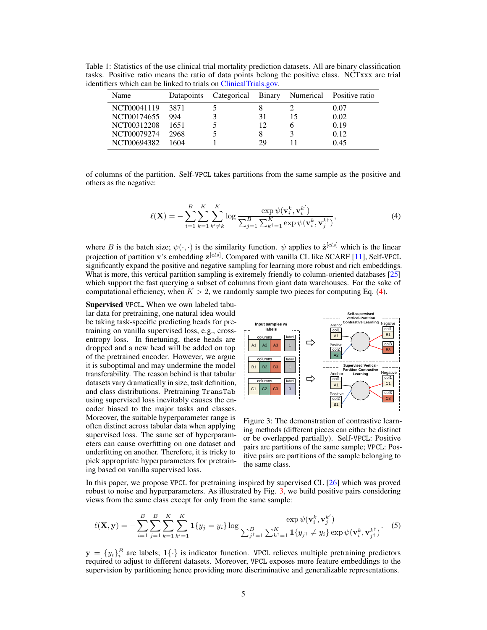<span id="page-4-2"></span>Table 1: Statistics of the use clinical trial mortality prediction datasets. All are binary classification tasks. Positive ratio means the ratio of data points belong the positive class. NCTxxx are trial identifiers which can be linked to trials on [ClinicalTrials.gov.](https://ClinicalTrials.gov)

| Name        |        |    | Datapoints Categorical Binary Numerical Positive ratio |
|-------------|--------|----|--------------------------------------------------------|
| NCT00041119 | - 3871 |    | 0.07                                                   |
| NCT00174655 | 994    | 31 | 0.02                                                   |
| NCT00312208 | 1651   | 12 | 0.19                                                   |
| NCT00079274 | 2968   |    | 0.12                                                   |
| NCT00694382 | 1604   | 29 | 0.45                                                   |

<span id="page-4-1"></span>of columns of the partition. Self-VPCL takes partitions from the same sample as the positive and others as the negative:

$$
\ell(\mathbf{X}) = -\sum_{i=1}^{B} \sum_{k=1}^{K} \sum_{k' \neq k}^{K} \log \frac{\exp \psi(\mathbf{v}_i^k, \mathbf{v}_i^{k'})}{\sum_{j=1}^{B} \sum_{k'=1}^{K} \exp \psi(\mathbf{v}_i^k, \mathbf{v}_j^{k'})},
$$
(4)

where B is the batch size;  $\psi(\cdot, \cdot)$  is the similarity function.  $\psi$  applies to  $\hat{\mathbf{z}}^{[cls]}$  which is the linear projection of partition **v**'s embedding  $\mathbf{z}^{[cls]}$ . Compared with vanilla CL like SCARF [\[11\]](#page-9-7), Self-VPCL significantly expand the positive and negative sampling for learning more robust and rich embeddings. What is more, this vertical partition sampling is extremely friendly to column-oriented databases [\[25\]](#page-9-21) which support the fast querying a subset of columns from giant data warehouses. For the sake of computational efficiency, when  $K > 2$ , we randomly sample two pieces for computing Eq. [\(4\)](#page-4-1).

Supervised VPCL. When we own labeled tabular data for pretraining, one natural idea would be taking task-specific predicting heads for pretraining on vanilla supervised loss, e.g., crossentropy loss. In finetuning, these heads are dropped and a new head will be added on top of the pretrained encoder. However, we argue it is suboptimal and may undermine the model transferability. The reason behind is that tabular datasets vary dramatically in size, task definition, and class distributions. Pretraining TransTab using supervised loss inevitably causes the encoder biased to the major tasks and classes. Moreover, the suitable hyperparameter range is often distinct across tabular data when applying supervised loss. The same set of hyperparameters can cause overfitting on one dataset and underfitting on another. Therefore, it is tricky to pick appropriate hyperparameters for pretraining based on vanilla supervised loss.

<span id="page-4-0"></span>

Figure 3: The demonstration of contrastive learning methods (different pieces can either be distinct or be overlapped partially). Self-VPCL: Positive pairs are partitions of the same sample; VPCL: Positive pairs are partitions of the sample belonging to the same class.

In this paper, we propose VPCL for pretraining inspired by supervised CL [\[26\]](#page-9-22) which was proved robust to noise and hyperparameters. As illustrated by Fig. [3,](#page-4-0) we build positive pairs considering views from the same class except for only from the same sample:

$$
\ell(\mathbf{X}, \mathbf{y}) = -\sum_{i=1}^{B} \sum_{j=1}^{B} \sum_{k=1}^{K} \sum_{k'=1}^{K} \mathbf{1}\{y_j = y_i\} \log \frac{\exp \psi(\mathbf{v}_i^k, \mathbf{v}_j^{k'})}{\sum_{j'=1}^{B} \sum_{k'=1}^{K} \mathbf{1}\{y_{j'} \neq y_i\} \exp \psi(\mathbf{v}_i^k, \mathbf{v}_{j'}^{k'})}.
$$
 (5)

 $y = \{y_i\}_i^B$  are labels;  $1\{\cdot\}$  is indicator function. VPCL relieves multiple pretraining predictors required to adjust to different datasets. Moreover, VPCL exposes more feature embeddings to the supervision by partitioning hence providing more discriminative and generalizable representations.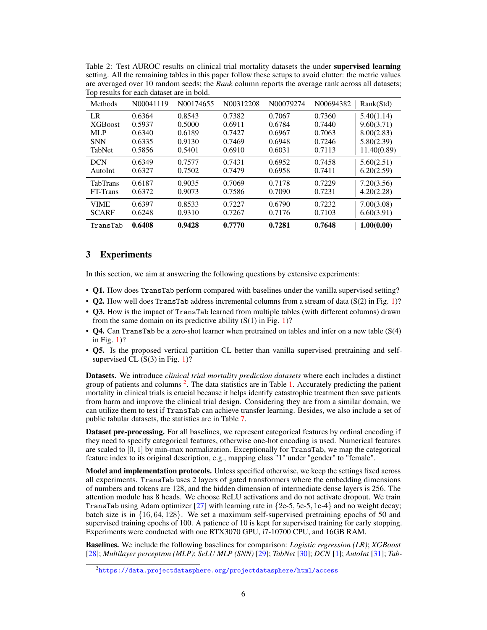<span id="page-5-1"></span>

| Table 2: Test AUROC results on clinical trial mortality datasets the under <b>supervised learning</b>   |
|---------------------------------------------------------------------------------------------------------|
| setting. All the remaining tables in this paper follow these setups to avoid clutter: the metric values |
| are averaged over 10 random seeds; the Rank column reports the average rank across all datasets;        |
| Top results for each dataset are in bold.                                                               |

| <b>Methods</b>  | N00041119 | N00174655 | N00312208 | N00079274 | N00694382 | Rank(Std)   |
|-----------------|-----------|-----------|-----------|-----------|-----------|-------------|
| LR              | 0.6364    | 0.8543    | 0.7382    | 0.7067    | 0.7360    | 5.40(1.14)  |
| <b>XGB</b> oost | 0.5937    | 0.5000    | 0.6911    | 0.6784    | 0.7440    | 9.60(3.71)  |
| <b>MLP</b>      | 0.6340    | 0.6189    | 0.7427    | 0.6967    | 0.7063    | 8.00(2.83)  |
| <b>SNN</b>      | 0.6335    | 0.9130    | 0.7469    | 0.6948    | 0.7246    | 5.80(2.39)  |
| TabNet          | 0.5856    | 0.5401    | 0.6910    | 0.6031    | 0.7113    | 11.40(0.89) |
| <b>DCN</b>      | 0.6349    | 0.7577    | 0.7431    | 0.6952    | 0.7458    | 5.60(2.51)  |
| AutoInt         | 0.6327    | 0.7502    | 0.7479    | 0.6958    | 0.7411    | 6.20(2.59)  |
| <b>TabTrans</b> | 0.6187    | 0.9035    | 0.7069    | 0.7178    | 0.7229    | 7.20(3.56)  |
| FT-Trans        | 0.6372    | 0.9073    | 0.7586    | 0.7090    | 0.7231    | 4.20(2.28)  |
| <b>VIME</b>     | 0.6397    | 0.8533    | 0.7227    | 0.6790    | 0.7232    | 7.00(3.08)  |
| <b>SCARF</b>    | 0.6248    | 0.9310    | 0.7267    | 0.7176    | 0.7103    | 6.60(3.91)  |
| TransTab        | 0.6408    | 0.9428    | 0.7770    | 0.7281    | 0.7648    | 1.00(0.00)  |

# <span id="page-5-2"></span>3 Experiments

In this section, we aim at answering the following questions by extensive experiments:

- Q1. How does TransTab perform compared with baselines under the vanilla supervised setting?
- Q2. How well does TransTab address incremental columns from a stream of data (S(2) in Fig. [1\)](#page-1-1)?
- Q3. How is the impact of TransTab learned from multiple tables (with different columns) drawn from the same domain on its predictive ability  $(S(1)$  $(S(1)$  in Fig. 1)?
- **O4.** Can TransTab be a zero-shot learner when pretrained on tables and infer on a new table (S(4) in Fig. [1\)](#page-1-1)?
- Q5. Is the proposed vertical partition CL better than vanilla supervised pretraining and selfsupervised CL  $(S(3)$  in Fig. [1\)](#page-1-1)?

Datasets. We introduce *clinical trial mortality prediction datasets* where each includes a distinct group of patients and columns<sup>[2](#page-5-0)</sup>. The data statistics are in Table [1.](#page-4-2) Accurately predicting the patient mortality in clinical trials is crucial because it helps identify catastrophic treatment then save patients from harm and improve the clinical trial design. Considering they are from a similar domain, we can utilize them to test if TransTab can achieve transfer learning. Besides, we also include a set of public tabular datasets, the statistics are in Table [7.](#page-14-0)

Dataset pre-processing. For all baselines, we represent categorical features by ordinal encoding if they need to specify categorical features, otherwise one-hot encoding is used. Numerical features are scaled to  $[0, 1]$  by min-max normalization. Exceptionally for TransTab, we map the categorical feature index to its original description, e.g., mapping class "1" under "gender" to "female".

Model and implementation protocols. Unless specified otherwise, we keep the settings fixed across all experiments. TransTab uses 2 layers of gated transformers where the embedding dimensions of numbers and tokens are 128, and the hidden dimension of intermediate dense layers is 256. The attention module has 8 heads. We choose ReLU activations and do not activate dropout. We train TransTab using Adam optimizer [\[27\]](#page-10-0) with learning rate in  $\{2e-5, 5e-5, 1e-4\}$  and no weight decay; batch size is in {16, 64, 128}. We set a maximum self-supervised pretraining epochs of 50 and supervised training epochs of 100. A patience of 10 is kept for supervised training for early stopping. Experiments were conducted with one RTX3070 GPU, i7-10700 CPU, and 16GB RAM.

Baselines. We include the following baselines for comparison: *Logistic regression (LR)*; *XGBoost* [\[28\]](#page-10-1); *Multilayer perceptron (MLP)*; *SeLU MLP (SNN)* [\[29\]](#page-10-2); *TabNet* [\[30\]](#page-10-3); *DCN* [\[1\]](#page-8-0); *AutoInt* [\[31\]](#page-10-4); *Tab-*

<span id="page-5-0"></span> $^2$ <https://data.projectdatasphere.org/projectdatasphere/html/access>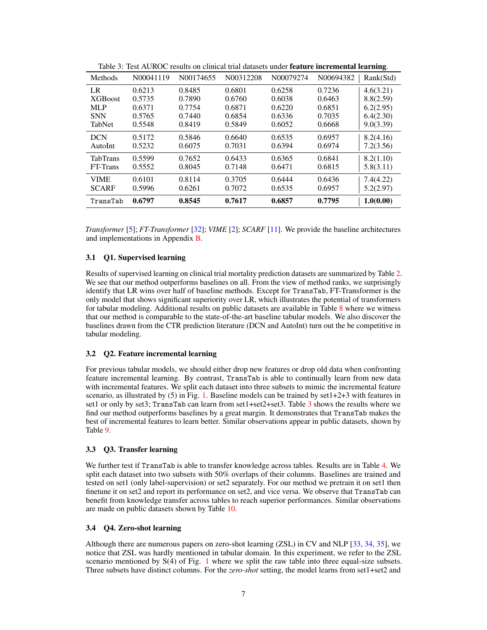| Methods         | N00041119 | N00174655 | N00312208 | N00079274 | N00694382 | Rank(Std) |
|-----------------|-----------|-----------|-----------|-----------|-----------|-----------|
| LR              | 0.6213    | 0.8485    | 0.6801    | 0.6258    | 0.7236    | 4.6(3.21) |
| <b>XGB</b> oost | 0.5735    | 0.7890    | 0.6760    | 0.6038    | 0.6463    | 8.8(2.59) |
| <b>MLP</b>      | 0.6371    | 0.7754    | 0.6871    | 0.6220    | 0.6851    | 6.2(2.95) |
| <b>SNN</b>      | 0.5765    | 0.7440    | 0.6854    | 0.6336    | 0.7035    | 6.4(2.30) |
| <b>TabNet</b>   | 0.5548    | 0.8419    | 0.5849    | 0.6052    | 0.6668    | 9.0(3.39) |
| <b>DCN</b>      | 0.5172    | 0.5846    | 0.6640    | 0.6535    | 0.6957    | 8.2(4.16) |
| AutoInt         | 0.5232    | 0.6075    | 0.7031    | 0.6394    | 0.6974    | 7.2(3.56) |
| <b>TabTrans</b> | 0.5599    | 0.7652    | 0.6433    | 0.6365    | 0.6841    | 8.2(1.10) |
| FT-Trans        | 0.5552    | 0.8045    | 0.7148    | 0.6471    | 0.6815    | 5.8(3.11) |
| <b>VIME</b>     | 0.6101    | 0.8114    | 0.3705    | 0.6444    | 0.6436    | 7.4(4.22) |
| <b>SCARF</b>    | 0.5996    | 0.6261    | 0.7072    | 0.6535    | 0.6957    | 5.2(2.97) |
| TransTab        | 0.6797    | 0.8545    | 0.7617    | 0.6857    | 0.7795    | 1.0(0.00) |

<span id="page-6-0"></span>Table 3: Test AUROC results on clinical trial datasets under feature incremental learning.

*Transformer* [\[5\]](#page-9-1); *FT-Transformer* [\[32\]](#page-10-5); *VIME* [\[2\]](#page-8-1); *SCARF* [\[11\]](#page-9-7). We provide the baseline architectures and implementations in Appendix [B.](#page-13-0)

#### 3.1 Q1. Supervised learning

Results of supervised learning on clinical trial mortality prediction datasets are summarized by Table [2.](#page-5-1) We see that our method outperforms baselines on all. From the view of method ranks, we surprisingly identify that LR wins over half of baseline methods. Except for TransTab, FT-Transformer is the only model that shows significant superiority over LR, which illustrates the potential of transformers for tabular modeling. Additional results on public datasets are available in Table [8](#page-14-1) where we witness that our method is comparable to the state-of-the-art baseline tabular models. We also discover the baselines drawn from the CTR prediction literature (DCN and AutoInt) turn out the be competitive in tabular modeling.

## 3.2 Q2. Feature incremental learning

For previous tabular models, we should either drop new features or drop old data when confronting feature incremental learning. By contrast, TransTab is able to continually learn from new data with incremental features. We split each dataset into three subsets to mimic the incremental feature scenario, as illustrated by (5) in Fig. [1.](#page-1-1) Baseline models can be trained by set1+2+3 with features in set1 or only by set3; TransTab can learn from set1+set2+set3. Table [3](#page-6-0) shows the results where we find our method outperforms baselines by a great margin. It demonstrates that TransTab makes the best of incremental features to learn better. Similar observations appear in public datasets, shown by Table [9.](#page-15-0)

#### 3.3 Q3. Transfer learning

We further test if TransTab is able to transfer knowledge across tables. Results are in Table [4.](#page-7-0) We split each dataset into two subsets with 50% overlaps of their columns. Baselines are trained and tested on set1 (only label-supervision) or set2 separately. For our method we pretrain it on set1 then finetune it on set2 and report its performance on set2, and vice versa. We observe that TransTab can benefit from knowledge transfer across tables to reach superior performances. Similar observations are made on public datasets shown by Table [10.](#page-15-1)

#### 3.4 Q4. Zero-shot learning

Although there are numerous papers on zero-shot learning (ZSL) in CV and NLP [\[33,](#page-10-6) [34,](#page-10-7) [35\]](#page-10-8), we notice that ZSL was hardly mentioned in tabular domain. In this experiment, we refer to the ZSL scenario mentioned by S(4) of Fig. [1](#page-1-1) where we split the raw table into three equal-size subsets. Three subsets have distinct columns. For the *zero-shot* setting, the model learns from set1+set2 and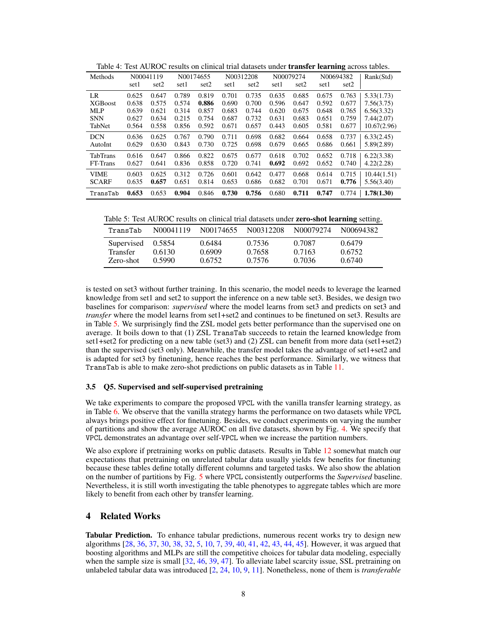| Methods        | N00041119 |       | N00174655 |       |       | N00312208 |       | N00079274 |       | -<br>N00694382 | Rank(Std)   |
|----------------|-----------|-------|-----------|-------|-------|-----------|-------|-----------|-------|----------------|-------------|
|                | set1      | set2  | set1      | set2  | set1  | set2      | set1  | set2      | set1  | set2           |             |
| LR             | 0.625     | 0.647 | 0.789     | 0.819 | 0.701 | 0.735     | 0.635 | 0.685     | 0.675 | 0.763          | 5.33(1.73)  |
| <b>XGBoost</b> | 0.638     | 0.575 | 0.574     | 0.886 | 0.690 | 0.700     | 0.596 | 0.647     | 0.592 | 0.677          | 7.56(3.75)  |
| <b>MLP</b>     | 0.639     | 0.621 | 0.314     | 0.857 | 0.683 | 0.744     | 0.620 | 0.675     | 0.648 | 0.765          | 6.56(3.32)  |
| <b>SNN</b>     | 0.627     | 0.634 | 0.215     | 0.754 | 0.687 | 0.732     | 0.631 | 0.683     | 0.651 | 0.759          | 7.44(2.07)  |
| TabNet         | 0.564     | 0.558 | 0.856     | 0.592 | 0.671 | 0.657     | 0.443 | 0.605     | 0.581 | 0.677          | 10.67(2.96) |
| <b>DCN</b>     | 0.636     | 0.625 | 0.767     | 0.790 | 0.711 | 0.698     | 0.682 | 0.664     | 0.658 | 0.737          | 6.33(2.45)  |
| AutoInt        | 0.629     | 0.630 | 0.843     | 0.730 | 0.725 | 0.698     | 0.679 | 0.665     | 0.686 | 0.661          | 5.89(2.89)  |
| TabTrans       | 0.616     | 0.647 | 0.866     | 0.822 | 0.675 | 0.677     | 0.618 | 0.702     | 0.652 | 0.718          | 6.22(3.38)  |
| FT-Trans       | 0.627     | 0.641 | 0.836     | 0.858 | 0.720 | 0.741     | 0.692 | 0.692     | 0.652 | 0.740          | 4.22(2.28)  |
| <b>VIME</b>    | 0.603     | 0.625 | 0.312     | 0.726 | 0.601 | 0.642     | 0.477 | 0.668     | 0.614 | 0.715          | 10.44(1.51) |
| <b>SCARF</b>   | 0.635     | 0.657 | 0.651     | 0.814 | 0.653 | 0.686     | 0.682 | 0.701     | 0.671 | 0.776          | 5.56(3.40)  |
| TransTab       | 0.653     | 0.653 | 0.904     | 0.846 | 0.730 | 0.756     | 0.680 | 0.711     | 0.747 | 0.774          | 1.78(1.30)  |

<span id="page-7-0"></span>Table 4: Test AUROC results on clinical trial datasets under **transfer learning** across tables.

<span id="page-7-1"></span>Table 5: Test AUROC results on clinical trial datasets under zero-shot learning setting.

| TransTab                                   | N00041119                  | N00174655                  | N00312208                  | N00079274                  | N00694382                  |
|--------------------------------------------|----------------------------|----------------------------|----------------------------|----------------------------|----------------------------|
| Supervised<br><b>Transfer</b><br>Zero-shot | 0.5854<br>0.6130<br>0.5990 | 0.6484<br>0.6909<br>0.6752 | 0.7536<br>0.7658<br>0.7576 | 0.7087<br>0.7163<br>0.7036 | 0.6479<br>0.6752<br>0.6740 |

is tested on set3 without further training. In this scenario, the model needs to leverage the learned knowledge from set1 and set2 to support the inference on a new table set3. Besides, we design two baselines for comparison: *supervised* where the model learns from set3 and predicts on set3 and *transfer* where the model learns from set1+set2 and continues to be finetuned on set3. Results are in Table [5.](#page-7-1) We surprisingly find the ZSL model gets better performance than the supervised one on average. It boils down to that (1) ZSL TransTab succeeds to retain the learned knowledge from set1+set2 for predicting on a new table (set3) and (2) ZSL can benefit from more data (set1+set2) than the supervised (set3 only). Meanwhile, the transfer model takes the advantage of set1+set2 and is adapted for set3 by finetuning, hence reaches the best performance. Similarly, we witness that TransTab is able to make zero-shot predictions on public datasets as in Table [11.](#page-16-0)

#### <span id="page-7-2"></span>3.5 Q5. Supervised and self-supervised pretraining

We take experiments to compare the proposed VPCL with the vanilla transfer learning strategy, as in Table [6.](#page-8-3) We observe that the vanilla strategy harms the performance on two datasets while VPCL always brings positive effect for finetuning. Besides, we conduct experiments on varying the number of partitions and show the average AUROC on all five datasets, shown by Fig. [4.](#page-16-1) We specify that VPCL demonstrates an advantage over self-VPCL when we increase the partition numbers.

We also explore if pretraining works on public datasets. Results in Table [12](#page-16-2) somewhat match our expectations that pretraining on unrelated tabular data usually yields few benefits for finetuning because these tables define totally different columns and targeted tasks. We also show the ablation on the number of partitions by Fig. [5](#page-16-1) where VPCL consistently outperforms the *Supervised* baseline. Nevertheless, it is still worth investigating the table phenotypes to aggregate tables which are more likely to benefit from each other by transfer learning.

## 4 Related Works

Tabular Prediction. To enhance tabular predictions, numerous recent works try to design new algorithms [\[28,](#page-10-1) [36,](#page-10-9) [37,](#page-10-10) [30,](#page-10-3) [38,](#page-10-11) [32,](#page-10-5) [5,](#page-9-1) [10,](#page-9-6) [7,](#page-9-3) [39,](#page-10-12) [40,](#page-10-13) [41,](#page-10-14) [42,](#page-10-15) [43,](#page-10-16) [44,](#page-10-17) [45\]](#page-10-18). However, it was argued that boosting algorithms and MLPs are still the competitive choices for tabular data modeling, especially when the sample size is small [\[32,](#page-10-5) [46,](#page-10-19) [39,](#page-10-12) [47\]](#page-10-20). To alleviate label scarcity issue, SSL pretraining on unlabeled tabular data was introduced [\[2,](#page-8-1) [24,](#page-9-20) [10,](#page-9-6) [9,](#page-9-5) [11\]](#page-9-7). Nonetheless, none of them is *transferable*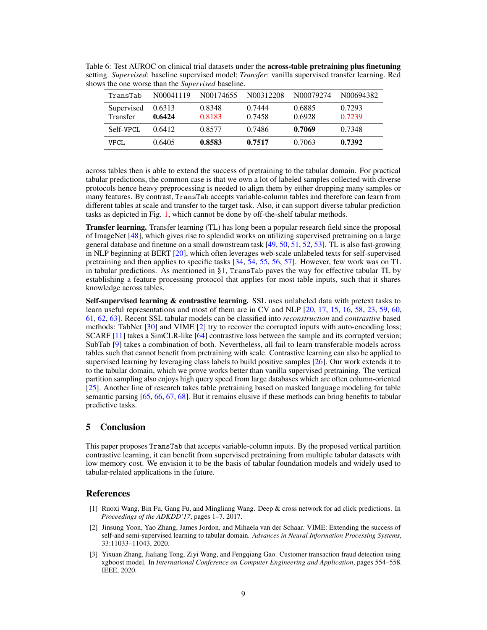| TransTab                      | N00041119        | N00174655        | N00312208        | N00079274        | N00694382        |
|-------------------------------|------------------|------------------|------------------|------------------|------------------|
| Supervised<br><b>Transfer</b> | 0.6313<br>0.6424 | 0.8348<br>0.8183 | 0.7444<br>0.7458 | 0.6885<br>0.6928 | 0.7293<br>0.7239 |
| Self-VPCL                     | 0.6412           | 0.8577           | 0.7486           | 0.7069           | 0.7348           |
| <b>VPCL</b>                   | 0.6405           | 0.8583           | 0.7517           | 0.7063           | 0.7392           |

<span id="page-8-3"></span>Table 6: Test AUROC on clinical trial datasets under the across-table pretraining plus finetuning setting. *Supervised*: baseline supervised model; *Transfer*: vanilla supervised transfer learning. Red shows the one worse than the *Supervised* baseline.

across tables then is able to extend the success of pretraining to the tabular domain. For practical tabular predictions, the common case is that we own a lot of labeled samples collected with diverse protocols hence heavy preprocessing is needed to align them by either dropping many samples or many features. By contrast, TransTab accepts variable-column tables and therefore can learn from different tables at scale and transfer to the target task. Also, it can support diverse tabular prediction tasks as depicted in Fig. [1,](#page-1-1) which cannot be done by off-the-shelf tabular methods.

Transfer learning. Transfer learning (TL) has long been a popular research field since the proposal of ImageNet [\[48\]](#page-10-21), which gives rise to splendid works on utilizing supervised pretraining on a large general database and finetune on a small downstream task [\[49,](#page-10-22) [50,](#page-11-0) [51,](#page-11-1) [52,](#page-11-2) [53\]](#page-11-3). TL is also fast-growing in NLP beginning at BERT [\[20\]](#page-9-16), which often leverages web-scale unlabeled texts for self-supervised pretraining and then applies to specific tasks  $[34, 54, 55, 56, 57]$  $[34, 54, 55, 56, 57]$  $[34, 54, 55, 56, 57]$  $[34, 54, 55, 56, 57]$  $[34, 54, 55, 56, 57]$  $[34, 54, 55, 56, 57]$  $[34, 54, 55, 56, 57]$  $[34, 54, 55, 56, 57]$  $[34, 54, 55, 56, 57]$ . However, few work was on TL in tabular predictions. As mentioned in  $\S1$ , TransTab paves the way for effective tabular TL by establishing a feature processing protocol that applies for most table inputs, such that it shares knowledge across tables.

Self-supervised learning & contrastive learning. SSL uses unlabeled data with pretext tasks to learn useful representations and most of them are in CV and NLP [\[20,](#page-9-16) [17,](#page-9-13) [15,](#page-9-11) [16,](#page-9-12) [58,](#page-11-8) [23,](#page-9-19) [59,](#page-11-9) [60,](#page-11-10) [61,](#page-11-11) [62,](#page-11-12) [63\]](#page-11-13). Recent SSL tabular models can be classified into *reconstruction* and *contrastive* based methods: TabNet [\[30\]](#page-10-3) and VIME [\[2\]](#page-8-1) try to recover the corrupted inputs with auto-encoding loss; SCARF [\[11\]](#page-9-7) takes a SimCLR-like [\[64\]](#page-11-14) contrastive loss between the sample and its corrupted version; SubTab [\[9\]](#page-9-5) takes a combination of both. Nevertheless, all fail to learn transferable models across tables such that cannot benefit from pretraining with scale. Contrastive learning can also be applied to supervised learning by leveraging class labels to build positive samples  $[26]$ . Our work extends it to to the tabular domain, which we prove works better than vanilla supervised pretraining. The vertical partition sampling also enjoys high query speed from large databases which are often column-oriented [\[25\]](#page-9-21). Another line of research takes table pretraining based on masked language modeling for table semantic parsing [\[65,](#page-11-15) [66,](#page-11-16) [67,](#page-11-17) [68\]](#page-11-18). But it remains elusive if these methods can bring benefits to tabular predictive tasks.

## 5 Conclusion

This paper proposes TransTab that accepts variable-column inputs. By the proposed vertical partition contrastive learning, it can benefit from supervised pretraining from multiple tabular datasets with low memory cost. We envision it to be the basis of tabular foundation models and widely used to tabular-related applications in the future.

## **References**

- <span id="page-8-0"></span>[1] Ruoxi Wang, Bin Fu, Gang Fu, and Mingliang Wang. Deep & cross network for ad click predictions. In *Proceedings of the ADKDD'17*, pages 1–7. 2017.
- <span id="page-8-1"></span>[2] Jinsung Yoon, Yao Zhang, James Jordon, and Mihaela van der Schaar. VIME: Extending the success of self-and semi-supervised learning to tabular domain. *Advances in Neural Information Processing Systems*, 33:11033–11043, 2020.
- <span id="page-8-2"></span>[3] Yixuan Zhang, Jialiang Tong, Ziyi Wang, and Fengqiang Gao. Customer transaction fraud detection using xgboost model. In *International Conference on Computer Engineering and Application*, pages 554–558. IEEE, 2020.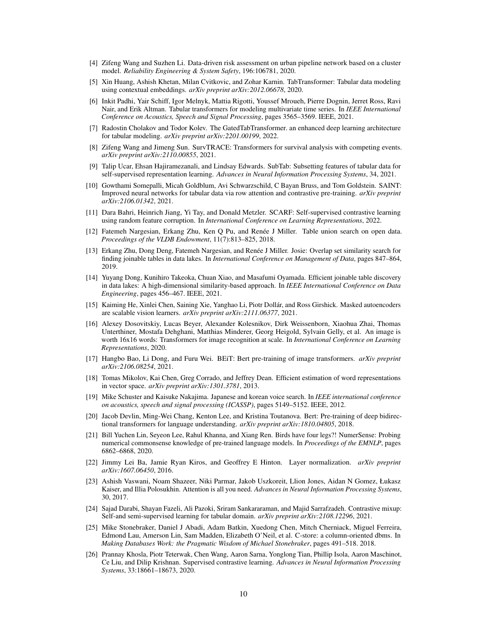- <span id="page-9-0"></span>[4] Zifeng Wang and Suzhen Li. Data-driven risk assessment on urban pipeline network based on a cluster model. *Reliability Engineering & System Safety*, 196:106781, 2020.
- <span id="page-9-1"></span>[5] Xin Huang, Ashish Khetan, Milan Cvitkovic, and Zohar Karnin. TabTransformer: Tabular data modeling using contextual embeddings. *arXiv preprint arXiv:2012.06678*, 2020.
- <span id="page-9-2"></span>[6] Inkit Padhi, Yair Schiff, Igor Melnyk, Mattia Rigotti, Youssef Mroueh, Pierre Dognin, Jerret Ross, Ravi Nair, and Erik Altman. Tabular transformers for modeling multivariate time series. In *IEEE International Conference on Acoustics, Speech and Signal Processing*, pages 3565–3569. IEEE, 2021.
- <span id="page-9-3"></span>[7] Radostin Cholakov and Todor Kolev. The GatedTabTransformer. an enhanced deep learning architecture for tabular modeling. *arXiv preprint arXiv:2201.00199*, 2022.
- <span id="page-9-4"></span>[8] Zifeng Wang and Jimeng Sun. SurvTRACE: Transformers for survival analysis with competing events. *arXiv preprint arXiv:2110.00855*, 2021.
- <span id="page-9-5"></span>[9] Talip Ucar, Ehsan Hajiramezanali, and Lindsay Edwards. SubTab: Subsetting features of tabular data for self-supervised representation learning. *Advances in Neural Information Processing Systems*, 34, 2021.
- <span id="page-9-6"></span>[10] Gowthami Somepalli, Micah Goldblum, Avi Schwarzschild, C Bayan Bruss, and Tom Goldstein. SAINT: Improved neural networks for tabular data via row attention and contrastive pre-training. *arXiv preprint arXiv:2106.01342*, 2021.
- <span id="page-9-7"></span>[11] Dara Bahri, Heinrich Jiang, Yi Tay, and Donald Metzler. SCARF: Self-supervised contrastive learning using random feature corruption. In *International Conference on Learning Representations*, 2022.
- <span id="page-9-8"></span>[12] Fatemeh Nargesian, Erkang Zhu, Ken Q Pu, and Renée J Miller. Table union search on open data. *Proceedings of the VLDB Endowment*, 11(7):813–825, 2018.
- <span id="page-9-9"></span>[13] Erkang Zhu, Dong Deng, Fatemeh Nargesian, and Renée J Miller. Josie: Overlap set similarity search for finding joinable tables in data lakes. In *International Conference on Management of Data*, pages 847–864, 2019.
- <span id="page-9-10"></span>[14] Yuyang Dong, Kunihiro Takeoka, Chuan Xiao, and Masafumi Oyamada. Efficient joinable table discovery in data lakes: A high-dimensional similarity-based approach. In *IEEE International Conference on Data Engineering*, pages 456–467. IEEE, 2021.
- <span id="page-9-11"></span>[15] Kaiming He, Xinlei Chen, Saining Xie, Yanghao Li, Piotr Dollár, and Ross Girshick. Masked autoencoders are scalable vision learners. *arXiv preprint arXiv:2111.06377*, 2021.
- <span id="page-9-12"></span>[16] Alexey Dosovitskiy, Lucas Beyer, Alexander Kolesnikov, Dirk Weissenborn, Xiaohua Zhai, Thomas Unterthiner, Mostafa Dehghani, Matthias Minderer, Georg Heigold, Sylvain Gelly, et al. An image is worth 16x16 words: Transformers for image recognition at scale. In *International Conference on Learning Representations*, 2020.
- <span id="page-9-13"></span>[17] Hangbo Bao, Li Dong, and Furu Wei. BEiT: Bert pre-training of image transformers. *arXiv preprint arXiv:2106.08254*, 2021.
- <span id="page-9-14"></span>[18] Tomas Mikolov, Kai Chen, Greg Corrado, and Jeffrey Dean. Efficient estimation of word representations in vector space. *arXiv preprint arXiv:1301.3781*, 2013.
- <span id="page-9-15"></span>[19] Mike Schuster and Kaisuke Nakajima. Japanese and korean voice search. In *IEEE international conference on acoustics, speech and signal processing (ICASSP)*, pages 5149–5152. IEEE, 2012.
- <span id="page-9-16"></span>[20] Jacob Devlin, Ming-Wei Chang, Kenton Lee, and Kristina Toutanova. Bert: Pre-training of deep bidirectional transformers for language understanding. *arXiv preprint arXiv:1810.04805*, 2018.
- <span id="page-9-17"></span>[21] Bill Yuchen Lin, Seyeon Lee, Rahul Khanna, and Xiang Ren. Birds have four legs?! NumerSense: Probing numerical commonsense knowledge of pre-trained language models. In *Proceedings of the EMNLP*, pages 6862–6868, 2020.
- <span id="page-9-18"></span>[22] Jimmy Lei Ba, Jamie Ryan Kiros, and Geoffrey E Hinton. Layer normalization. *arXiv preprint arXiv:1607.06450*, 2016.
- <span id="page-9-19"></span>[23] Ashish Vaswani, Noam Shazeer, Niki Parmar, Jakob Uszkoreit, Llion Jones, Aidan N Gomez, Łukasz Kaiser, and Illia Polosukhin. Attention is all you need. *Advances in Neural Information Processing Systems*, 30, 2017.
- <span id="page-9-20"></span>[24] Sajad Darabi, Shayan Fazeli, Ali Pazoki, Sriram Sankararaman, and Majid Sarrafzadeh. Contrastive mixup: Self-and semi-supervised learning for tabular domain. *arXiv preprint arXiv:2108.12296*, 2021.
- <span id="page-9-21"></span>[25] Mike Stonebraker, Daniel J Abadi, Adam Batkin, Xuedong Chen, Mitch Cherniack, Miguel Ferreira, Edmond Lau, Amerson Lin, Sam Madden, Elizabeth O'Neil, et al. C-store: a column-oriented dbms. In *Making Databases Work: the Pragmatic Wisdom of Michael Stonebraker*, pages 491–518. 2018.
- <span id="page-9-22"></span>[26] Prannay Khosla, Piotr Teterwak, Chen Wang, Aaron Sarna, Yonglong Tian, Phillip Isola, Aaron Maschinot, Ce Liu, and Dilip Krishnan. Supervised contrastive learning. *Advances in Neural Information Processing Systems*, 33:18661–18673, 2020.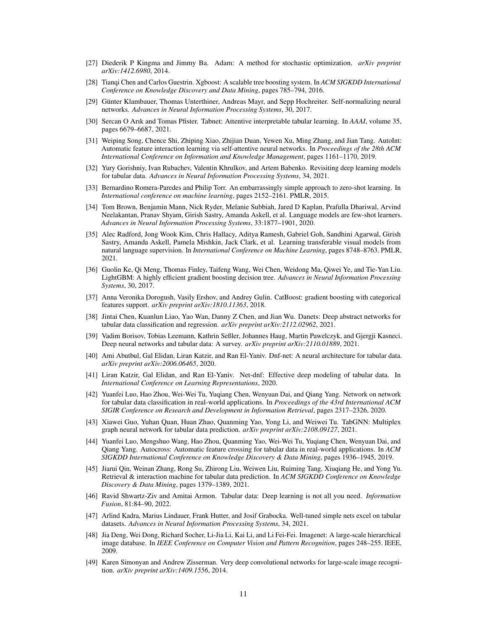- <span id="page-10-0"></span>[27] Diederik P Kingma and Jimmy Ba. Adam: A method for stochastic optimization. *arXiv preprint arXiv:1412.6980*, 2014.
- <span id="page-10-1"></span>[28] Tianqi Chen and Carlos Guestrin. Xgboost: A scalable tree boosting system. In *ACM SIGKDD International Conference on Knowledge Discovery and Data Mining*, pages 785–794, 2016.
- <span id="page-10-2"></span>[29] Günter Klambauer, Thomas Unterthiner, Andreas Mayr, and Sepp Hochreiter. Self-normalizing neural networks. *Advances in Neural Information Processing Systems*, 30, 2017.
- <span id="page-10-3"></span>[30] Sercan O Arık and Tomas Pfister. Tabnet: Attentive interpretable tabular learning. In *AAAI*, volume 35, pages 6679–6687, 2021.
- <span id="page-10-4"></span>[31] Weiping Song, Chence Shi, Zhiping Xiao, Zhijian Duan, Yewen Xu, Ming Zhang, and Jian Tang. AutoInt: Automatic feature interaction learning via self-attentive neural networks. In *Proceedings of the 28th ACM International Conference on Information and Knowledge Management*, pages 1161–1170, 2019.
- <span id="page-10-5"></span>[32] Yury Gorishniy, Ivan Rubachev, Valentin Khrulkov, and Artem Babenko. Revisiting deep learning models for tabular data. *Advances in Neural Information Processing Systems*, 34, 2021.
- <span id="page-10-6"></span>[33] Bernardino Romera-Paredes and Philip Torr. An embarrassingly simple approach to zero-shot learning. In *International conference on machine learning*, pages 2152–2161. PMLR, 2015.
- <span id="page-10-7"></span>[34] Tom Brown, Benjamin Mann, Nick Ryder, Melanie Subbiah, Jared D Kaplan, Prafulla Dhariwal, Arvind Neelakantan, Pranav Shyam, Girish Sastry, Amanda Askell, et al. Language models are few-shot learners. *Advances in Neural Information Processing Systems*, 33:1877–1901, 2020.
- <span id="page-10-8"></span>[35] Alec Radford, Jong Wook Kim, Chris Hallacy, Aditya Ramesh, Gabriel Goh, Sandhini Agarwal, Girish Sastry, Amanda Askell, Pamela Mishkin, Jack Clark, et al. Learning transferable visual models from natural language supervision. In *International Conference on Machine Learning*, pages 8748–8763. PMLR, 2021.
- <span id="page-10-9"></span>[36] Guolin Ke, Qi Meng, Thomas Finley, Taifeng Wang, Wei Chen, Weidong Ma, Qiwei Ye, and Tie-Yan Liu. LightGBM: A highly efficient gradient boosting decision tree. *Advances in Neural Information Processing Systems*, 30, 2017.
- <span id="page-10-10"></span>[37] Anna Veronika Dorogush, Vasily Ershov, and Andrey Gulin. CatBoost: gradient boosting with categorical features support. *arXiv preprint arXiv:1810.11363*, 2018.
- <span id="page-10-11"></span>[38] Jintai Chen, Kuanlun Liao, Yao Wan, Danny Z Chen, and Jian Wu. Danets: Deep abstract networks for tabular data classification and regression. *arXiv preprint arXiv:2112.02962*, 2021.
- <span id="page-10-12"></span>[39] Vadim Borisov, Tobias Leemann, Kathrin Seßler, Johannes Haug, Martin Pawelczyk, and Gjergji Kasneci. Deep neural networks and tabular data: A survey. *arXiv preprint arXiv:2110.01889*, 2021.
- <span id="page-10-13"></span>[40] Ami Abutbul, Gal Elidan, Liran Katzir, and Ran El-Yaniv. Dnf-net: A neural architecture for tabular data. *arXiv preprint arXiv:2006.06465*, 2020.
- <span id="page-10-14"></span>[41] Liran Katzir, Gal Elidan, and Ran El-Yaniv. Net-dnf: Effective deep modeling of tabular data. In *International Conference on Learning Representations*, 2020.
- <span id="page-10-15"></span>[42] Yuanfei Luo, Hao Zhou, Wei-Wei Tu, Yuqiang Chen, Wenyuan Dai, and Qiang Yang. Network on network for tabular data classification in real-world applications. In *Proceedings of the 43rd International ACM SIGIR Conference on Research and Development in Information Retrieval*, pages 2317–2326, 2020.
- <span id="page-10-16"></span>[43] Xiawei Guo, Yuhan Quan, Huan Zhao, Quanming Yao, Yong Li, and Weiwei Tu. TabGNN: Multiplex graph neural network for tabular data prediction. *arXiv preprint arXiv:2108.09127*, 2021.
- <span id="page-10-17"></span>[44] Yuanfei Luo, Mengshuo Wang, Hao Zhou, Quanming Yao, Wei-Wei Tu, Yuqiang Chen, Wenyuan Dai, and Qiang Yang. Autocross: Automatic feature crossing for tabular data in real-world applications. In *ACM SIGKDD International Conference on Knowledge Discovery & Data Mining*, pages 1936–1945, 2019.
- <span id="page-10-18"></span>[45] Jiarui Qin, Weinan Zhang, Rong Su, Zhirong Liu, Weiwen Liu, Ruiming Tang, Xiuqiang He, and Yong Yu. Retrieval & interaction machine for tabular data prediction. In *ACM SIGKDD Conference on Knowledge Discovery & Data Mining*, pages 1379–1389, 2021.
- <span id="page-10-19"></span>[46] Ravid Shwartz-Ziv and Amitai Armon. Tabular data: Deep learning is not all you need. *Information Fusion*, 81:84–90, 2022.
- <span id="page-10-20"></span>[47] Arlind Kadra, Marius Lindauer, Frank Hutter, and Josif Grabocka. Well-tuned simple nets excel on tabular datasets. *Advances in Neural Information Processing Systems*, 34, 2021.
- <span id="page-10-21"></span>[48] Jia Deng, Wei Dong, Richard Socher, Li-Jia Li, Kai Li, and Li Fei-Fei. Imagenet: A large-scale hierarchical image database. In *IEEE Conference on Computer Vision and Pattern Recognition*, pages 248–255. IEEE, 2009.
- <span id="page-10-22"></span>[49] Karen Simonyan and Andrew Zisserman. Very deep convolutional networks for large-scale image recognition. *arXiv preprint arXiv:1409.1556*, 2014.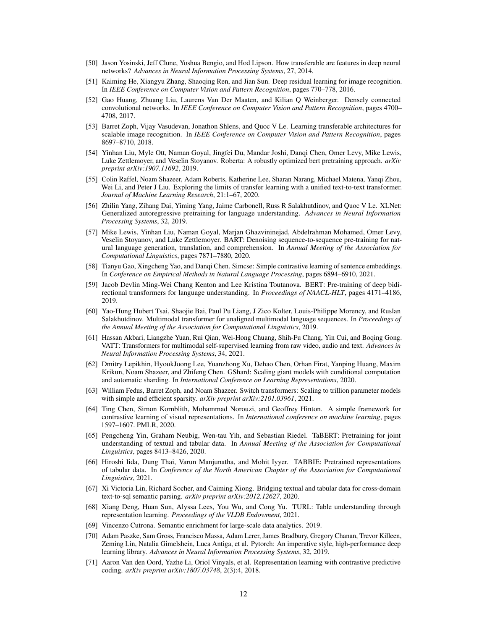- <span id="page-11-0"></span>[50] Jason Yosinski, Jeff Clune, Yoshua Bengio, and Hod Lipson. How transferable are features in deep neural networks? *Advances in Neural Information Processing Systems*, 27, 2014.
- <span id="page-11-1"></span>[51] Kaiming He, Xiangyu Zhang, Shaoqing Ren, and Jian Sun. Deep residual learning for image recognition. In *IEEE Conference on Computer Vision and Pattern Recognition*, pages 770–778, 2016.
- <span id="page-11-2"></span>[52] Gao Huang, Zhuang Liu, Laurens Van Der Maaten, and Kilian Q Weinberger. Densely connected convolutional networks. In *IEEE Conference on Computer Vision and Pattern Recognition*, pages 4700– 4708, 2017.
- <span id="page-11-3"></span>[53] Barret Zoph, Vijay Vasudevan, Jonathon Shlens, and Quoc V Le. Learning transferable architectures for scalable image recognition. In *IEEE Conference on Computer Vision and Pattern Recognition*, pages 8697–8710, 2018.
- <span id="page-11-4"></span>[54] Yinhan Liu, Myle Ott, Naman Goyal, Jingfei Du, Mandar Joshi, Danqi Chen, Omer Levy, Mike Lewis, Luke Zettlemoyer, and Veselin Stoyanov. Roberta: A robustly optimized bert pretraining approach. *arXiv preprint arXiv:1907.11692*, 2019.
- <span id="page-11-5"></span>[55] Colin Raffel, Noam Shazeer, Adam Roberts, Katherine Lee, Sharan Narang, Michael Matena, Yanqi Zhou, Wei Li, and Peter J Liu. Exploring the limits of transfer learning with a unified text-to-text transformer. *Journal of Machine Learning Research*, 21:1–67, 2020.
- <span id="page-11-6"></span>[56] Zhilin Yang, Zihang Dai, Yiming Yang, Jaime Carbonell, Russ R Salakhutdinov, and Quoc V Le. XLNet: Generalized autoregressive pretraining for language understanding. *Advances in Neural Information Processing Systems*, 32, 2019.
- <span id="page-11-7"></span>[57] Mike Lewis, Yinhan Liu, Naman Goyal, Marjan Ghazvininejad, Abdelrahman Mohamed, Omer Levy, Veselin Stoyanov, and Luke Zettlemoyer. BART: Denoising sequence-to-sequence pre-training for natural language generation, translation, and comprehension. In *Annual Meeting of the Association for Computational Linguistics*, pages 7871–7880, 2020.
- <span id="page-11-8"></span>[58] Tianyu Gao, Xingcheng Yao, and Danqi Chen. Simcse: Simple contrastive learning of sentence embeddings. In *Conference on Empirical Methods in Natural Language Processing*, pages 6894–6910, 2021.
- <span id="page-11-9"></span>[59] Jacob Devlin Ming-Wei Chang Kenton and Lee Kristina Toutanova. BERT: Pre-training of deep bidirectional transformers for language understanding. In *Proceedings of NAACL-HLT*, pages 4171–4186, 2019.
- <span id="page-11-10"></span>[60] Yao-Hung Hubert Tsai, Shaojie Bai, Paul Pu Liang, J Zico Kolter, Louis-Philippe Morency, and Ruslan Salakhutdinov. Multimodal transformer for unaligned multimodal language sequences. In *Proceedings of the Annual Meeting of the Association for Computational Linguistics*, 2019.
- <span id="page-11-11"></span>[61] Hassan Akbari, Liangzhe Yuan, Rui Qian, Wei-Hong Chuang, Shih-Fu Chang, Yin Cui, and Boqing Gong. VATT: Transformers for multimodal self-supervised learning from raw video, audio and text. *Advances in Neural Information Processing Systems*, 34, 2021.
- <span id="page-11-12"></span>[62] Dmitry Lepikhin, HyoukJoong Lee, Yuanzhong Xu, Dehao Chen, Orhan Firat, Yanping Huang, Maxim Krikun, Noam Shazeer, and Zhifeng Chen. GShard: Scaling giant models with conditional computation and automatic sharding. In *International Conference on Learning Representations*, 2020.
- <span id="page-11-13"></span>[63] William Fedus, Barret Zoph, and Noam Shazeer. Switch transformers: Scaling to trillion parameter models with simple and efficient sparsity. *arXiv preprint arXiv:2101.03961*, 2021.
- <span id="page-11-14"></span>[64] Ting Chen, Simon Kornblith, Mohammad Norouzi, and Geoffrey Hinton. A simple framework for contrastive learning of visual representations. In *International conference on machine learning*, pages 1597–1607. PMLR, 2020.
- <span id="page-11-15"></span>[65] Pengcheng Yin, Graham Neubig, Wen-tau Yih, and Sebastian Riedel. TaBERT: Pretraining for joint understanding of textual and tabular data. In *Annual Meeting of the Association for Computational Linguistics*, pages 8413–8426, 2020.
- <span id="page-11-16"></span>[66] Hiroshi Iida, Dung Thai, Varun Manjunatha, and Mohit Iyyer. TABBIE: Pretrained representations of tabular data. In *Conference of the North American Chapter of the Association for Computational Linguistics*, 2021.
- <span id="page-11-17"></span>[67] Xi Victoria Lin, Richard Socher, and Caiming Xiong. Bridging textual and tabular data for cross-domain text-to-sql semantic parsing. *arXiv preprint arXiv:2012.12627*, 2020.
- <span id="page-11-18"></span>[68] Xiang Deng, Huan Sun, Alyssa Lees, You Wu, and Cong Yu. TURL: Table understanding through representation learning. *Proceedings of the VLDB Endowment*, 2021.
- <span id="page-11-19"></span>[69] Vincenzo Cutrona. Semantic enrichment for large-scale data analytics. 2019.
- <span id="page-11-20"></span>[70] Adam Paszke, Sam Gross, Francisco Massa, Adam Lerer, James Bradbury, Gregory Chanan, Trevor Killeen, Zeming Lin, Natalia Gimelshein, Luca Antiga, et al. Pytorch: An imperative style, high-performance deep learning library. *Advances in Neural Information Processing Systems*, 32, 2019.
- <span id="page-11-21"></span>[71] Aaron Van den Oord, Yazhe Li, Oriol Vinyals, et al. Representation learning with contrastive predictive coding. *arXiv preprint arXiv:1807.03748*, 2(3):4, 2018.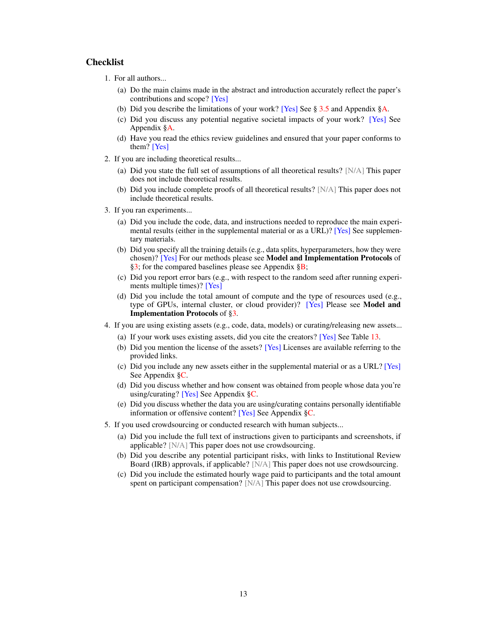## Checklist

- 1. For all authors...
	- (a) Do the main claims made in the abstract and introduction accurately reflect the paper's contributions and scope? [Yes]
	- (b) Did you describe the limitations of your work? [Yes] See § [3.5](#page-7-2) and Appendix [§A.](#page-13-1)
	- (c) Did you discuss any potential negative societal impacts of your work? [Yes] See Appendix [§A.](#page-13-1)
	- (d) Have you read the ethics review guidelines and ensured that your paper conforms to them? [Yes]
- 2. If you are including theoretical results...
	- (a) Did you state the full set of assumptions of all theoretical results? [N/A] This paper does not include theoretical results.
	- (b) Did you include complete proofs of all theoretical results? [N/A] This paper does not include theoretical results.
- 3. If you ran experiments...
	- (a) Did you include the code, data, and instructions needed to reproduce the main experimental results (either in the supplemental material or as a URL)? [Yes] See supplementary materials.
	- (b) Did you specify all the training details (e.g., data splits, hyperparameters, how they were chosen)? [Yes] For our methods please see Model and Implementation Protocols of [§3;](#page-5-2) for the compared baselines please see Appendix [§B;](#page-13-0)
	- (c) Did you report error bars (e.g., with respect to the random seed after running experiments multiple times)? [Yes]
	- (d) Did you include the total amount of compute and the type of resources used (e.g., type of GPUs, internal cluster, or cloud provider)? [Yes] Please see Model and Implementation Protocols of [§3.](#page-5-2)
- 4. If you are using existing assets (e.g., code, data, models) or curating/releasing new assets...
	- (a) If your work uses existing assets, did you cite the creators? [Yes] See Table [13.](#page-16-3)
	- (b) Did you mention the license of the assets? [Yes] Licenses are available referring to the provided links.
	- (c) Did you include any new assets either in the supplemental material or as a URL? [Yes] See Appendix [§C.](#page-14-2)
	- (d) Did you discuss whether and how consent was obtained from people whose data you're using/curating? [Yes] See Appendix [§C.](#page-14-2)
	- (e) Did you discuss whether the data you are using/curating contains personally identifiable information or offensive content? [Yes] See Appendix [§C.](#page-14-2)
- 5. If you used crowdsourcing or conducted research with human subjects...
	- (a) Did you include the full text of instructions given to participants and screenshots, if applicable? [N/A] This paper does not use crowdsourcing.
	- (b) Did you describe any potential participant risks, with links to Institutional Review Board (IRB) approvals, if applicable? [N/A] This paper does not use crowdsourcing.
	- (c) Did you include the estimated hourly wage paid to participants and the total amount spent on participant compensation? [N/A] This paper does not use crowdsourcing.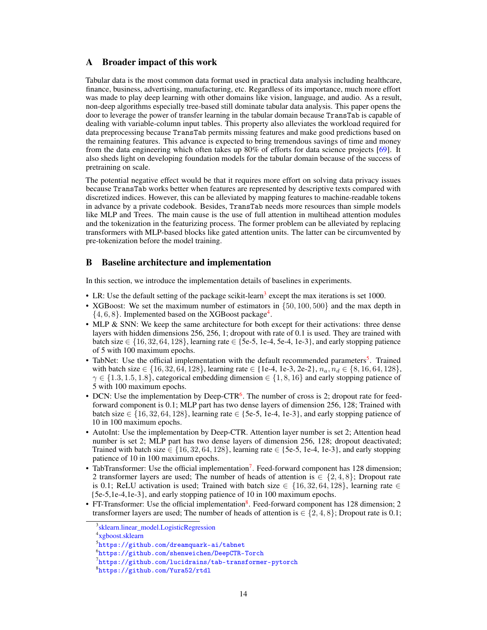# <span id="page-13-1"></span>A Broader impact of this work

Tabular data is the most common data format used in practical data analysis including healthcare, finance, business, advertising, manufacturing, etc. Regardless of its importance, much more effort was made to play deep learning with other domains like vision, language, and audio. As a result, non-deep algorithms especially tree-based still dominate tabular data analysis. This paper opens the door to leverage the power of transfer learning in the tabular domain because TransTab is capable of dealing with variable-column input tables. This property also alleviates the workload required for data preprocessing because TransTab permits missing features and make good predictions based on the remaining features. This advance is expected to bring tremendous savings of time and money from the data engineering which often takes up 80% of efforts for data science projects [\[69\]](#page-11-19). It also sheds light on developing foundation models for the tabular domain because of the success of pretraining on scale.

The potential negative effect would be that it requires more effort on solving data privacy issues because TransTab works better when features are represented by descriptive texts compared with discretized indices. However, this can be alleviated by mapping features to machine-readable tokens in advance by a private codebook. Besides, TransTab needs more resources than simple models like MLP and Trees. The main cause is the use of full attention in multihead attention modules and the tokenization in the featurizing process. The former problem can be alleviated by replacing transformers with MLP-based blocks like gated attention units. The latter can be circumvented by pre-tokenization before the model training.

# <span id="page-13-0"></span>B Baseline architecture and implementation

In this section, we introduce the implementation details of baselines in experiments.

- LR: Use the default setting of the package scikit-learn<sup>[3](#page-13-2)</sup> except the max iterations is set 1000.
- XGBoost: We set the maximum number of estimators in  $\{50, 100, 500\}$  and the max depth in  $\{4, 6, 8\}$  $\{4, 6, 8\}$  $\{4, 6, 8\}$ . Implemented based on the XGBoost package<sup>4</sup>.
- MLP & SNN: We keep the same architecture for both except for their activations: three dense layers with hidden dimensions 256, 256, 1; dropout with rate of 0.1 is used. They are trained with batch size ∈  $\{16, 32, 64, 128\}$ , learning rate ∈  $\{5e-5, 1e-4, 5e-4, 1e-3\}$ , and early stopping patience of 5 with 100 maximum epochs.
- TabNet: Use the official implementation with the default recommended parameters<sup>[5](#page-13-4)</sup>. Trained with batch size  $\in \{16, 32, 64, 128\}$ , learning rate  $\in \{1e-4, 1e-3, 2e-2\}$ ,  $n_a, n_d \in \{8, 16, 64, 128\}$ ,  $\gamma \in \{1.3, 1.5, 1.8\}$ , categorical embedding dimension  $\in \{1, 8, 16\}$  and early stopping patience of 5 with 100 maximum epochs.
- DCN: Use the implementation by Deep-CTR<sup>[6](#page-13-5)</sup>. The number of cross is 2; dropout rate for feedforward component is 0.1; MLP part has two dense layers of dimension 256, 128; Trained with batch size  $\in \{16, 32, 64, 128\}$ , learning rate  $\in \{5e-5, 1e-4, 1e-3\}$ , and early stopping patience of 10 in 100 maximum epochs.
- AutoInt: Use the implementation by Deep-CTR. Attention layer number is set 2; Attention head number is set 2; MLP part has two dense layers of dimension 256, 128; dropout deactivated; Trained with batch size  $\in \{16, 32, 64, 128\}$ , learning rate  $\in \{5e-5, 1e-4, 1e-3\}$ , and early stopping patience of 10 in 100 maximum epochs.
- TabTransformer: Use the official implementation<sup>[7](#page-13-6)</sup>. Feed-forward component has 128 dimension; 2 transformer layers are used; The number of heads of attention is  $\in \{2, 4, 8\}$ ; Dropout rate is 0.1; ReLU activation is used; Trained with batch size  $\in \{16, 32, 64, 128\}$ , learning rate  $\in$ {5e-5,1e-4,1e-3}, and early stopping patience of 10 in 100 maximum epochs.
- FT-Transformer: Use the official implementation<sup>[8](#page-13-7)</sup>. Feed-forward component has 128 dimension; 2 transformer layers are used; The number of heads of attention is  $\in \{2, 4, 8\}$ ; Dropout rate is 0.1;

<span id="page-13-2"></span><sup>&</sup>lt;sup>3</sup>[sklearn.linear\\_model.LogisticRegression](https://scikit-learn.org/stable/modules/generated/sklearn.linear_model.LogisticRegression.html)

<span id="page-13-3"></span><sup>4</sup> [xgboost.sklearn](https://xgboost.readthedocs.io/en/stable/python/python_api.html)

<span id="page-13-4"></span><sup>5</sup> <https://github.com/dreamquark-ai/tabnet>

<span id="page-13-5"></span> $^6$ <https://github.com/shenweichen/DeepCTR-Torch>

<span id="page-13-6"></span><sup>7</sup> <https://github.com/lucidrains/tab-transformer-pytorch>

<span id="page-13-7"></span><sup>8</sup> <https://github.com/Yura52/rtdl>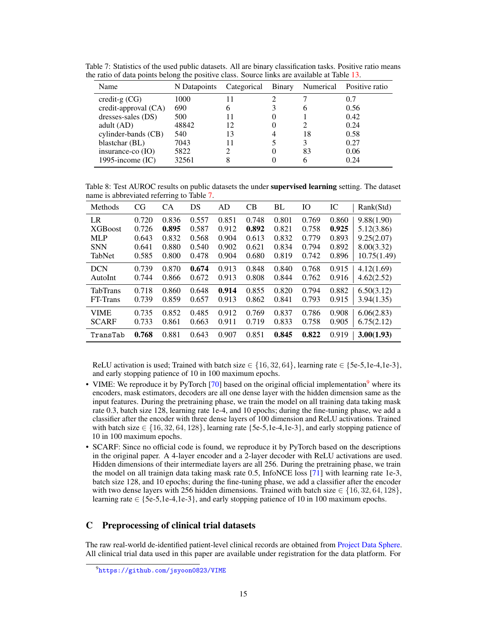<span id="page-14-0"></span>Table 7: Statistics of the used public datasets. All are binary classification tasks. Positive ratio means the ratio of data points belong the positive class. Source links are available at Table [13.](#page-16-3)

| Name                  | N Datapoints | Categorical | <b>Binary</b> | Numerical | Positive ratio |
|-----------------------|--------------|-------------|---------------|-----------|----------------|
| credit-g $(CG)$       | 1000         |             |               |           | 0.7            |
| $credit-approxal(CA)$ | 690          |             |               |           | 0.56           |
| dresses-sales (DS)    | 500          |             |               |           | 0.42           |
| adult $(AD)$          | 48842        | 12          |               |           | 0.24           |
| cylinder-bands (CB)   | 540          | 13          |               | 18        | 0.58           |
| blastchar (BL)        | 7043         |             |               |           | 0.27           |
| insurance-co $(IO)$   | 5822         |             |               | 83        | 0.06           |
| 1995-income $(IC)$    | 32561        |             |               |           | 0.24           |

<span id="page-14-1"></span>Table 8: Test AUROC results on public datasets the under supervised learning setting. The dataset name is abbreviated referring to Table [7.](#page-14-0)

| Methods         | CG    | CA    | DS    | AD    | CB    | BL    | IО    | IC    | Rank(Std)   |
|-----------------|-------|-------|-------|-------|-------|-------|-------|-------|-------------|
| LR              | 0.720 | 0.836 | 0.557 | 0.851 | 0.748 | 0.801 | 0.769 | 0.860 | 9.88(1.90)  |
| <b>XGB</b> oost | 0.726 | 0.895 | 0.587 | 0.912 | 0.892 | 0.821 | 0.758 | 0.925 | 5.12(3.86)  |
| <b>MLP</b>      | 0.643 | 0.832 | 0.568 | 0.904 | 0.613 | 0.832 | 0.779 | 0.893 | 9.25(2.07)  |
| <b>SNN</b>      | 0.641 | 0.880 | 0.540 | 0.902 | 0.621 | 0.834 | 0.794 | 0.892 | 8.00(3.32)  |
| TabNet          | 0.585 | 0.800 | 0.478 | 0.904 | 0.680 | 0.819 | 0.742 | 0.896 | 10.75(1.49) |
| <b>DCN</b>      | 0.739 | 0.870 | 0.674 | 0.913 | 0.848 | 0.840 | 0.768 | 0.915 | 4.12(1.69)  |
| AutoInt         | 0.744 | 0.866 | 0.672 | 0.913 | 0.808 | 0.844 | 0.762 | 0.916 | 4.62(2.52)  |
| <b>TabTrans</b> | 0.718 | 0.860 | 0.648 | 0.914 | 0.855 | 0.820 | 0.794 | 0.882 | 6.50(3.12)  |
| FT-Trans        | 0.739 | 0.859 | 0.657 | 0.913 | 0.862 | 0.841 | 0.793 | 0.915 | 3.94(1.35)  |
| <b>VIME</b>     | 0.735 | 0.852 | 0.485 | 0.912 | 0.769 | 0.837 | 0.786 | 0.908 | 6.06(2.83)  |
| <b>SCARF</b>    | 0.733 | 0.861 | 0.663 | 0.911 | 0.719 | 0.833 | 0.758 | 0.905 | 6.75(2.12)  |
| TransTab        | 0.768 | 0.881 | 0.643 | 0.907 | 0.851 | 0.845 | 0.822 | 0.919 | 3.00(1.93)  |

ReLU activation is used; Trained with batch size  $\in \{16, 32, 64\}$ , learning rate  $\in \{5e-5, 1e-4, 1e-3\}$ , and early stopping patience of 10 in 100 maximum epochs.

- VIME: We reproduce it by PyTorch  $[70]$  based on the original official implementation<sup>[9](#page-14-3)</sup> where its encoders, mask estimators, decoders are all one dense layer with the hidden dimension same as the input features. During the pretraining phase, we train the model on all training data taking mask rate 0.3, batch size 128, learning rate 1e-4, and 10 epochs; during the fine-tuning phase, we add a classifier after the encoder with three dense layers of 100 dimension and ReLU activations. Trained with batch size  $\in \{16, 32, 64, 128\}$ , learning rate {5e-5,1e-4,1e-3}, and early stopping patience of 10 in 100 maximum epochs.
- SCARF: Since no official code is found, we reproduce it by PyTorch based on the descriptions in the original paper. A 4-layer encoder and a 2-layer decoder with ReLU activations are used. Hidden dimensions of their intermediate layers are all 256. During the pretraining phase, we train the model on all trainign data taking mask rate 0.5, InfoNCE loss [\[71\]](#page-11-21) with learning rate 1e-3, batch size 128, and 10 epochs; during the fine-tuning phase, we add a classifier after the encoder with two dense layers with 256 hidden dimensions. Trained with batch size  $\in \{16, 32, 64, 128\}$ , learning rate  $\in$  {5e-5,1e-4,1e-3}, and early stopping patience of 10 in 100 maximum epochs.

# <span id="page-14-2"></span>C Preprocessing of clinical trial datasets

The raw real-world de-identified patient-level clinical records are obtained from [Project Data Sphere.](https://data.projectdatasphere.org/projectdatasphere/html/home) All clinical trial data used in this paper are available under registration for the data platform. For

<span id="page-14-3"></span> $^{9}$ <https://github.com/jsyoon0823/VIME>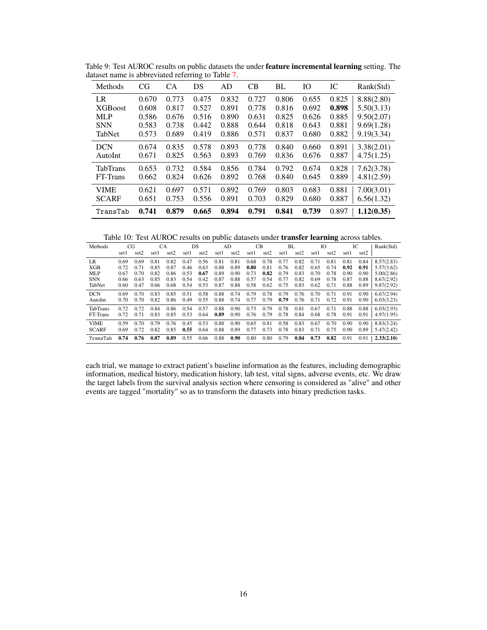| Methods         | CG    | CA    | DS    | AD    | CB    | BL    | Ю     | IC    | Rank(Std)  |
|-----------------|-------|-------|-------|-------|-------|-------|-------|-------|------------|
| LR              | 0.670 | 0.773 | 0.475 | 0.832 | 0.727 | 0.806 | 0.655 | 0.825 | 8.88(2.80) |
| <b>XGB</b> oost | 0.608 | 0.817 | 0.527 | 0.891 | 0.778 | 0.816 | 0.692 | 0.898 | 5.50(3.13) |
| <b>MLP</b>      | 0.586 | 0.676 | 0.516 | 0.890 | 0.631 | 0.825 | 0.626 | 0.885 | 9.50(2.07) |
| <b>SNN</b>      | 0.583 | 0.738 | 0.442 | 0.888 | 0.644 | 0.818 | 0.643 | 0.881 | 9.69(1.28) |
| TabNet          | 0.573 | 0.689 | 0.419 | 0.886 | 0.571 | 0.837 | 0.680 | 0.882 | 9.19(3.34) |
| <b>DCN</b>      | 0.674 | 0.835 | 0.578 | 0.893 | 0.778 | 0.840 | 0.660 | 0.891 | 3.38(2.01) |
| AutoInt         | 0.671 | 0.825 | 0.563 | 0.893 | 0.769 | 0.836 | 0.676 | 0.887 | 4.75(1.25) |
| <b>TabTrans</b> | 0.653 | 0.732 | 0.584 | 0.856 | 0.784 | 0.792 | 0.674 | 0.828 | 7.62(3.78) |
| FT-Trans        | 0.662 | 0.824 | 0.626 | 0.892 | 0.768 | 0.840 | 0.645 | 0.889 | 4.81(2.59) |
| <b>VIME</b>     | 0.621 | 0.697 | 0.571 | 0.892 | 0.769 | 0.803 | 0.683 | 0.881 | 7.00(3.01) |
| <b>SCARF</b>    | 0.651 | 0.753 | 0.556 | 0.891 | 0.703 | 0.829 | 0.680 | 0.887 | 6.56(1.32) |
| TransTab        | 0.741 | 0.879 | 0.665 | 0.894 | 0.791 | 0.841 | 0.739 | 0.897 | 1.12(0.35) |

<span id="page-15-0"></span>Table 9: Test AUROC results on public datasets the under feature incremental learning setting. The dataset name is abbreviated referring to Table [7.](#page-14-0)

<span id="page-15-1"></span>Table 10: Test AUROC results on public datasets under transfer learning across tables.

| Methods      |      | CG   | СA   |      |       | <b>DS</b> |      | AD   |      | CВ   |      | BL   |      | IO               |      | IC   | Rank(Std)  |
|--------------|------|------|------|------|-------|-----------|------|------|------|------|------|------|------|------------------|------|------|------------|
|              | setl | set2 | set1 | set2 | set l | set2      | set1 | set2 | set1 | set2 | set1 | set2 | setl | set <sub>2</sub> | set1 | set2 |            |
| LR.          | 0.69 | 0.69 | 0.81 | 0.82 | 0.47  | 0.56      | 0.81 | 0.81 | 0.68 | 0.78 | 0.77 | 0.82 | 0.71 | 0.81             | 0.81 | 0.84 | 8.57(2.83) |
| <b>XGB</b>   | 0.72 | 0.71 | 0.85 | 0.87 | 0.46  | 0.63      | 0.88 | 0.89 | 0.80 | 0.81 | 0.76 | 0.82 | 0.65 | 0.74             | 0.92 | 0.91 | 5.57(3.62) |
| <b>MLP</b>   | 0.67 | 0.70 | 0.82 | 0.86 | 0.53  | 0.67      | 0.89 | 0.90 | 0.73 | 0.82 | 0.79 | 0.83 | 0.70 | 0.78             | 0.90 | 0.90 | 5.00(2.86) |
| <b>SNN</b>   | 0.66 | 0.63 | 0.85 | 0.83 | 0.54  | 0.42      | 0.87 | 0.88 | 0.57 | 0.54 | 0.77 | 0.82 | 0.69 | 0.78             | 0.87 | 0.88 | 8.67(2.92) |
| TabNet       | 0.60 | 0.47 | 0.66 | 0.68 | 0.54  | 0.53      | 0.87 | 0.88 | 0.58 | 0.62 | 0.75 | 0.83 | 0.62 | 0.71             | 0.88 | 0.89 | 9.87(2.92) |
| <b>DCN</b>   | 0.69 | 0.70 | 0.83 | 0.85 | 0.51  | 0.58      | 0.88 | 0.74 | 0.79 | 0.78 | 0.79 | 0.76 | 0.70 | 0.71             | 0.91 | 0.90 | 6.67(2.94) |
| AutoInt      | 0.70 | 0.70 | 0.82 | 0.86 | 0.49  | 0.55      | 0.88 | 0.74 | 0.77 | 0.79 | 0.79 | 0.76 | 0.71 | 0.72             | 0.91 | 0.90 | 6.03(3.23) |
| TabTrans     | 0.72 | 0.72 | 0.84 | 0.86 | 0.54  | 0.57      | 0.88 | 0.90 | 0.73 | 0.79 | 0.78 | 0.81 | 0.67 | 0.71             | 0.88 | 0.88 | 6.03(2.93) |
| FT-Trans     | 0.72 | 0.71 | 0.83 | 0.85 | 0.53  | 0.64      | 0.89 | 0.90 | 0.76 | 0.79 | 0.78 | 0.84 | 0.68 | 0.78             | 0.91 | 0.91 | 4.97(1.95) |
| <b>VIME</b>  | 0.59 | 0.70 | 0.79 | 0.76 | 0.45  | 0.53      | 0.88 | 0.90 | 0.65 | 0.81 | 0.58 | 0.83 | 0.67 | 0.70             | 0.90 | 0.90 | 8.83(3.24) |
| <b>SCARF</b> | 0.69 | 0.72 | 0.82 | 0.85 | 0.55  | 0.64      | 0.88 | 0.89 | 0.77 | 0.73 | 0.78 | 0.83 | 0.71 | 0.75             | 0.90 | 0.89 | 5.47(2.42) |
| TransTab     | 0.74 | 0.76 | 0.87 | 0.89 | 0.55  | 0.66      | 0.88 | 0.90 | 0.80 | 0.80 | 0.79 | 0.84 | 0.73 | 0.82             | 0.91 | 0.91 | 2.33(2.10) |

each trial, we manage to extract patient's baseline information as the features, including demographic information, medical history, medication history, lab test, vital signs, adverse events, etc. We draw the target labels from the survival analysis section where censoring is considered as "alive" and other events are tagged "mortality" so as to transform the datasets into binary prediction tasks.